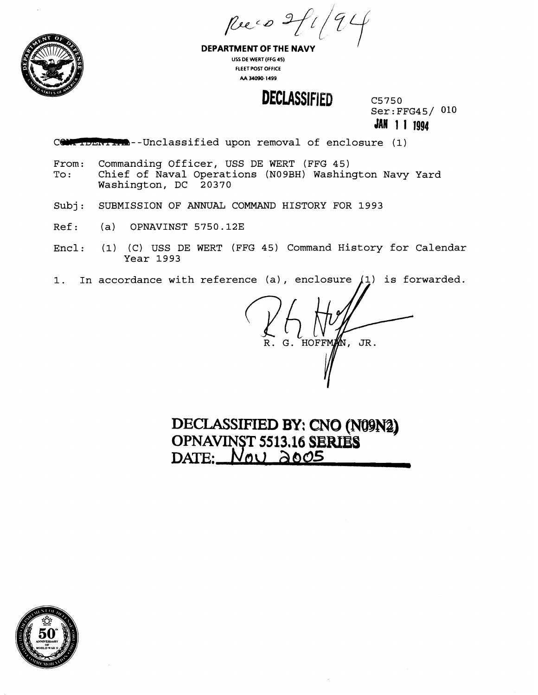Ruco 2



**DEPARTMENT OF THE NAVY US5 DE WERT (FFG 45) FLEET POST OFFICE AA 34090-1 499** 

### **DECLASSIFIED**

C5750 Ser: FFG45/ 010 **JAN 1 1 1994** 

CONFIDENTIAL--Unclassified upon removal of enclosure (1)

- From: Commanding Officer, USS DE WERT (FFG 45)<br>To: Chief of Naval Operations (N09BH) Washin Chief of Naval Operations (N09BH) Washington Navy Yard Washington, DC 20370
- Subj: SUBMISSION OF ANNUAL COMMAND HISTORY FOR 1993
- Ref: (a) OPNAVINST 5750.12E
- Encl: (1) (C) USS DE WERT (FFG 45) Command History for Calendar Year 1993
- 1. In accordance with reference (a), enclosure  $(1)$  is forwarded.

R. G. HOFFM JR.

DECLASSIFIED BY: CNO (N09N2) **OPNAVINST 5513.16 SERIES** DATE:  $N_{\text{QU}}$  2005

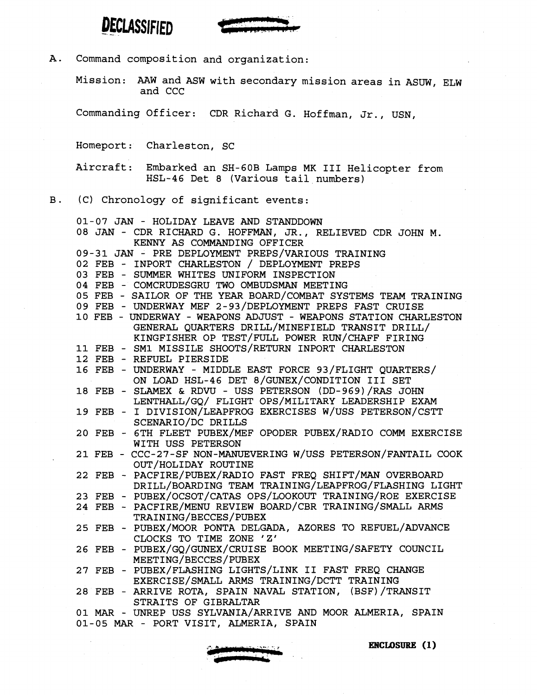

A. Command composition and organization:

Mission: AAW and ASW with secondary mission areas in ASUW, ELW and CCC

Commanding Officer: CDR Richard G. Hoffman, Jr., USN,

Homeport : Charleston, SC

Aircraft: Embarked an SH-60B Lamps MK I11 Helicopter from HSL-46 Det 8 (Various tail numbers)

#### B. (C) Chronology of significant events:

| 01-07 JAN - HOLIDAY LEAVE AND STANDDOWN                                                                                    |
|----------------------------------------------------------------------------------------------------------------------------|
| 08 JAN - CDR RICHARD G. HOFFMAN, JR., RELIEVED CDR JOHN M.                                                                 |
| KENNY AS COMMANDING OFFICER                                                                                                |
| 09-31 JAN - PRE DEPLOYMENT PREPS/VARIOUS TRAINING                                                                          |
| 02 FEB - INPORT CHARLESTON / DEPLOYMENT PREPS                                                                              |
| 03 FEB - SUMMER WHITES UNIFORM INSPECTION                                                                                  |
| 04 FEB - COMCRUDESGRU TWO OMBUDSMAN MEETING                                                                                |
| 05 FEB - SAILOR OF THE YEAR BOARD/COMBAT SYSTEMS TEAM TRAINING                                                             |
| 09 FEB - UNDERWAY MEF 2-93/DEPLOYMENT PREPS FAST CRUISE                                                                    |
| 10 FEB - UNDERWAY - WEAPONS ADJUST - WEAPONS STATION CHARLESTON                                                            |
| GENERAL QUARTERS DRILL/MINEFIELD TRANSIT DRILL/                                                                            |
| KINGFISHER OP TEST/FULL POWER RUN/CHAFF FIRING                                                                             |
| 11 FEB - SM1 MISSILE SHOOTS/RETURN INPORT CHARLESTON                                                                       |
| 12 FEB - REFUEL PIERSIDE                                                                                                   |
| 16 FEB - UNDERWAY - MIDDLE EAST FORCE 93/FLIGHT QUARTERS/                                                                  |
| ON LOAD HSL-46 DET 8/GUNEX/CONDITION III SET                                                                               |
| 18 FEB - SLAMEX & RDVU - USS PETERSON (DD-969) / RAS JOHN                                                                  |
| LENTHALL/GQ/ FLIGHT OPS/MILITARY LEADERSHIP EXAM                                                                           |
| 19 FEB - I DIVISION/LEAPFROG EXERCISES W/USS PETERSON/CSTT                                                                 |
| SCENARIO/DC DRILLS                                                                                                         |
| 20 FEB - 6TH FLEET PUBEX/MEF OPODER PUBEX/RADIO COMM EXERCISE                                                              |
| WITH USS PETERSON                                                                                                          |
| 21 FEB - CCC-27-SF NON-MANUEVERING W/USS PETERSON/FANTAIL COOK                                                             |
| OUT/HOLIDAY ROUTINE                                                                                                        |
| 22 FEB - PACFIRE/PUBEX/RADIO FAST FREQ SHIFT/MAN OVERBOARD<br>DRILL/BOARDING TEAM TRAINING/LEAPFROG/FLASHING LIGHT         |
|                                                                                                                            |
| 23 FEB - PUBEX/OCSOT/CATAS OPS/LOOKOUT TRAINING/ROE EXERCISE<br>24 FEB - PACFIRE/MENU REVIEW BOARD/CBR TRAINING/SMALL ARMS |
| TRAINING/BECCES/PUBEX                                                                                                      |
| 25 FEB - PUBEX/MOOR PONTA DELGADA, AZORES TO REFUEL/ADVANCE                                                                |
| CLOCKS TO TIME ZONE 'Z'                                                                                                    |
| 26 FEB - PUBEX/GQ/GUNEX/CRUISE BOOK MEETING/SAFETY COUNCIL                                                                 |
| MEETING/BECCES/PUBEX                                                                                                       |
| 27 FEB - PUBEX/FLASHING LIGHTS/LINK II FAST FREQ CHANGE                                                                    |
| EXERCISE/SMALL ARMS TRAINING/DCTT TRAINING                                                                                 |
| 28 FEB - ARRIVE ROTA, SPAIN NAVAL STATION, (BSF)/TRANSIT                                                                   |
| STRAITS OF GIBRALTAR                                                                                                       |
| 01 MAR - UNREP USS SYLVANIA/ARRIVE AND MOOR ALMERIA, SPAIN                                                                 |
| 01-05 MAR - PORT VISIT, ALMERIA, SPAIN                                                                                     |
|                                                                                                                            |



**ENCLOSURE** (1)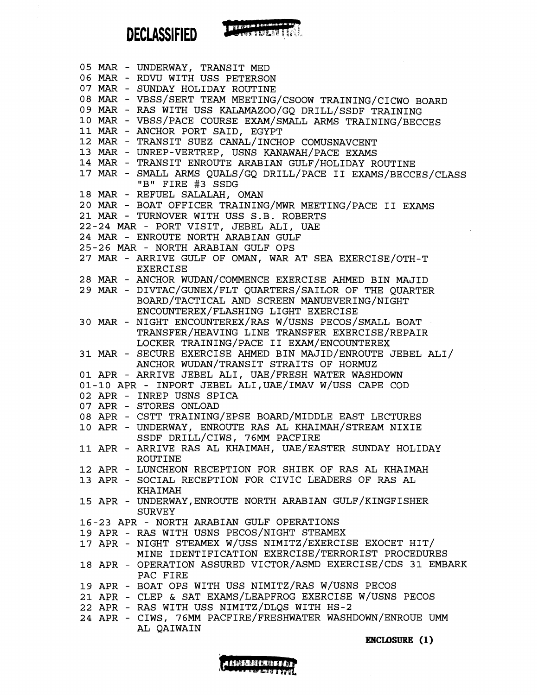**DECLASSIFIED** 

|  | 05 MAR - UNDERWAY, TRANSIT MED                                                     |
|--|------------------------------------------------------------------------------------|
|  | 06 MAR - RDVU WITH USS PETERSON                                                    |
|  | 07 MAR - SUNDAY HOLIDAY ROUTINE                                                    |
|  | 08 MAR - VBSS/SERT TEAM MEETING/CSOOW TRAINING/CICWO BOARD                         |
|  | 09 MAR - RAS WITH USS KALAMAZOO/GQ DRILL/SSDF TRAINING                             |
|  |                                                                                    |
|  | 10 MAR - VBSS/PACE COURSE EXAM/SMALL ARMS TRAINING/BECCES                          |
|  | 11 MAR - ANCHOR PORT SAID, EGYPT                                                   |
|  | 12 MAR - TRANSIT SUEZ CANAL/INCHOP COMUSNAVCENT                                    |
|  | 13 MAR - UNREP-VERTREP, USNS KANAWAH/PACE EXAMS                                    |
|  | 14 MAR - TRANSIT ENROUTE ARABIAN GULF/HOLIDAY ROUTINE                              |
|  | 17 MAR - SMALL ARMS QUALS/GQ DRILL/PACE II EXAMS/BECCES/CLASS<br>"B" FIRE #3 SSDG  |
|  | 18 MAR - REFUEL SALALAH, OMAN                                                      |
|  | 20 MAR - BOAT OFFICER TRAINING/MWR MEETING/PACE II EXAMS                           |
|  | 21 MAR - TURNOVER WITH USS S.B. ROBERTS                                            |
|  | 22-24 MAR - PORT VISIT, JEBEL ALI, UAE                                             |
|  |                                                                                    |
|  | 24 MAR - ENROUTE NORTH ARABIAN GULF                                                |
|  | 25-26 MAR - NORTH ARABIAN GULF OPS                                                 |
|  | 27 MAR - ARRIVE GULF OF OMAN, WAR AT SEA EXERCISE/OTH-T<br><b>EXERCISE</b>         |
|  | 28 MAR - ANCHOR WUDAN/COMMENCE EXERCISE AHMED BIN MAJID                            |
|  | 29 MAR - DIVTAC/GUNEX/FLT QUARTERS/SAILOR OF THE QUARTER                           |
|  | BOARD/TACTICAL AND SCREEN MANUEVERING/NIGHT<br>ENCOUNTEREX/FLASHING LIGHT EXERCISE |
|  |                                                                                    |
|  | 30 MAR - NIGHT ENCOUNTEREX/RAS W/USNS PECOS/SMALL BOAT                             |
|  | TRANSFER/HEAVING LINE TRANSFER EXERCISE/REPAIR                                     |
|  | LOCKER TRAINING/PACE II EXAM/ENCOUNTEREX                                           |
|  | 31 MAR - SECURE EXERCISE AHMED BIN MAJID/ENROUTE JEBEL ALI/                        |
|  | ANCHOR WUDAN/TRANSIT STRAITS OF HORMUZ                                             |
|  | 01 APR - ARRIVE JEBEL ALI, UAE/FRESH WATER WASHDOWN                                |
|  | 01-10 APR - INPORT JEBEL ALI, UAE/IMAV W/USS CAPE COD                              |
|  |                                                                                    |
|  | 02 APR - INREP USNS SPICA                                                          |
|  | 07 APR - STORES ONLOAD                                                             |
|  | 08 APR - CSTT TRAINING/EPSE BOARD/MIDDLE EAST LECTURES                             |
|  | 10 APR - UNDERWAY, ENROUTE RAS AL KHAIMAH/STREAM NIXIE                             |
|  | SSDF DRILL/CIWS, 76MM PACFIRE                                                      |
|  | 11 APR - ARRIVE RAS AL KHAIMAH, UAE/EASTER SUNDAY HOLIDAY                          |
|  | <b>ROUTINE</b>                                                                     |
|  | 12 APR - LUNCHEON RECEPTION FOR SHIEK OF RAS AL KHAIMAH                            |
|  |                                                                                    |
|  | 13 APR - SOCIAL RECEPTION FOR CIVIC LEADERS OF RAS AL                              |
|  | <b>KHAIMAH</b>                                                                     |
|  | 15 APR - UNDERWAY, ENROUTE NORTH ARABIAN GULF/KINGFISHER<br><b>SURVEY</b>          |
|  | 16-23 APR - NORTH ARABIAN GULF OPERATIONS                                          |
|  | 19 APR - RAS WITH USNS PECOS/NIGHT STEAMEX                                         |
|  | 17 APR - NIGHT STEAMEX W/USS NIMITZ/EXERCISE EXOCET HIT/                           |
|  | MINE IDENTIFICATION EXERCISE/TERRORIST PROCEDURES                                  |
|  |                                                                                    |
|  | 18 APR - OPERATION ASSURED VICTOR/ASMD EXERCISE/CDS 31 EMBARK                      |
|  | PAC FIRE                                                                           |
|  | 19 APR - BOAT OPS WITH USS NIMITZ/RAS W/USNS PECOS                                 |
|  | 21 APR - CLEP & SAT EXAMS/LEAPFROG EXERCISE W/USNS PECOS                           |
|  | 22 APR - RAS WITH USS NIMITZ/DLQS WITH HS-2                                        |
|  | 24 APR - CIWS, 76MM PACFIRE/FRESHWATER WASHDOWN/ENROUE UMM                         |
|  | AL QAIWAIN                                                                         |
|  | $\frac{1}{2}$ $\frac{1}{2}$ $\frac{1}{2}$ $\frac{1}{2}$ $\frac{1}{2}$              |

Thursday



**ENCLOSURE** (1)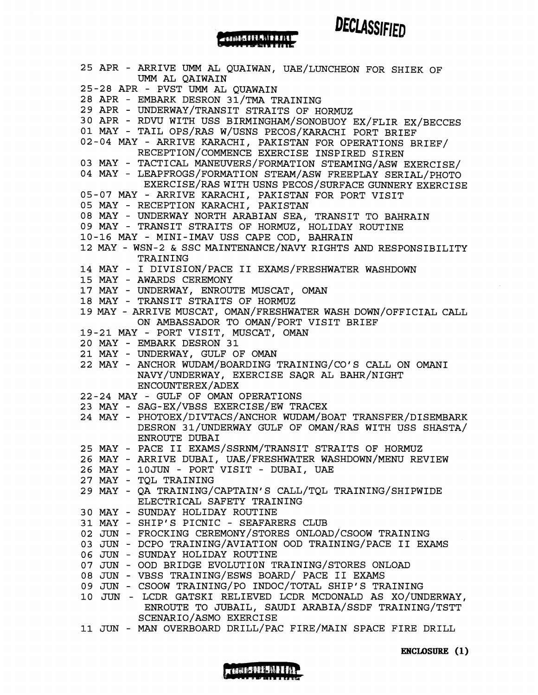25 APR - ARRIVE UMM AL QUAIWAN, UAE/LUNCHEON FOR SHIEK OF UMM AL QAIWAIN 25-28 APR - PVST UMM AL QUAWAIN 28 APR - EMBARK DESRON 31/TMA TRAINING 29 APR - UNDERWAY/TRANSIT STRAITS OF HORMUZ 30 APR - RDW WITH USS BIRMINGHAM/SONOBUOY EX/FLIR EX/BECCES 01 MAY - TAIL OPS/RAS W/USNS PECOS/KARACHI PORT BRIEF 02-04 MAY - ARRIVE KARACHI, PAKISTAN FOR OPERATIONS BRIEF/ RECEPTION/COMMENCE EXERCISE INSPIRED SIREN 03 MAY - TACTICAL MANEWERS/FORMATION STEAMING/ASW EXERCISE/ 04 MAY - LEAPFROGS/FORMATION STEAM/ASW FREEPLAY SERIAL/PHOTO EXERCISE/RAS WITH USNS PECOS/SURFACE GUNNERY EXERCISE 05-07 MAY - ARRIVE KARACHI, PAKISTAN FOR PORT VISIT 05 MAY - RECEPTION KARACHI, PAKISTAN 08 MAY - UNDERWAY NORTH ARABIAN SEA, TRANSIT TO BAHRAIN 09 MAY - TRANSIT STRAITS OF HORMUZ, HOLIDAY ROUTINE 10-16 MAY - MINI-IMAV USS CAPE COD, BAHRAIN 12 MAY - WSN-2 & SSC MAINTENANCE/NAVY RIGHTS AND RESPONSIBILITY TRAINING 14 MAY - I DIVISION/PACE I1 EXAMS/FRESHWATER WASHDOWN 15 MAY - AWARDS CEREMONY 17 MAY - UNDERWAY, ENROUTE MUSCAT, OMAN 18 MAY - TRANSIT STRAITS OF HORMUZ 19 MAY - ARRIVE MUSCAT, OMAN/FRESHWATER WASH DOWN/OFFICIAL CALL ON AMBASSADOR TO 0MAN/PORT VISIT BRIEF 19-21 MAY - PORT VISIT, MUSCAT, OMAN 20 MAY - EMBARK DESRON 31 21 MAY - UNDERWAY, GULF OF OMAN 22 MAY - ANCHOR WUDAM/BOARDING TRAINING/CO'S CALL ON OMAN1 NAvY/uNDERWAY, EXERCISE SAQR AL BAHR/NIGHT ENCOUNTEREX/ADEX 22-24 MAY - GULF OF OMAN OPERATIONS 23 MAY - SAG-EX/VBSS EXERCISE/EW TRACEX 24 MAY - PHOTOEX/DIVTACS/ANCHOR WUDAM/BOAT TRANSFER/DISEMBARK DESRON 31/UNDERWAY GULF OF OMAN/RAS WITH USS SHASTA/ ENROUTE DUBAI 25 MAY - PACE I1 EXAMS/SSRNM/TRANSIT STRAITS OF HORMUZ 26 MAY - ARRIVE DUBAI, UAE/FRESHWATER WASHDOWN/MENU REVIEW 26 MAY - 10JUN - PORT VISIT - DUBAI, UAE 27 MAY - TQL TRAINING 29 MAY - QA TRAINING/CAPTAIN'S CALL/TQL TRAINING/SHIPWIDE ELECTRICAL SAFETY TRAINING 30 MAY - SUNDAY HOLIDAY ROUTINE 31 MAY - SHIP'S PICNIC - SEAFARERS CLUB 02 JUN - FROCKING CEREMONY/STORES ONLOAD/CSOOW TRAINING 03 JUN - DCPO TRAINING/AVIATION OOD TRAINING/PACE I1 EXAMS 06 JUN - SUNDAY HOLIDAY ROUTINE 07 JUN - OOD BRIDGE EVOLUTION TRAINING/STORES ONLOAD 08 JUN - VBSS TRAINING/ESWS BOARD/ PACE **I1** EXAMS 09 JUN - CSOOW TRAINING/PO INDOC/TOTAL SHIP'S TRAINING 10 JUN - LCDR GATSKI RELIEVED LCDR MCDONALD AS XO/UNDERWAY, ENROUTE TO JUBAIL, SAUDI ARABIA/SSDF TRAINING/TSTT SCENARIO/ASMO EXERCISE

-484511511111

DECLASSIFIED

11 JUN - MAN OVERBOARD DRILL/PAC FIRE/MAIN SPACE FIRE DRILL



ENCLOSURE (1)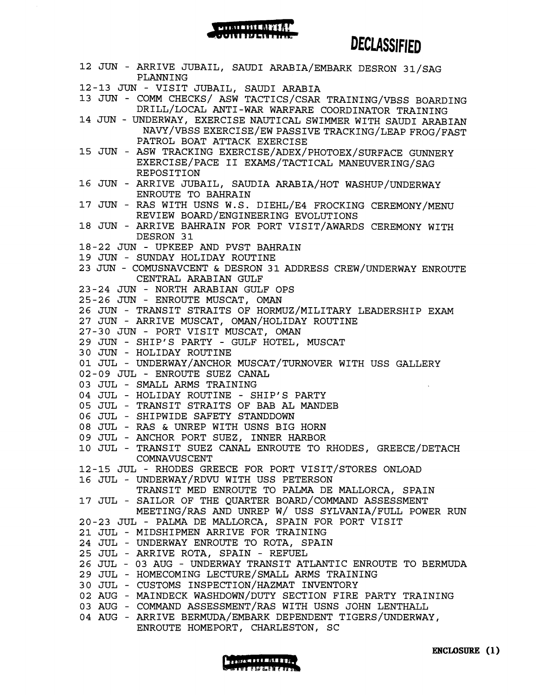#### MERICANIA **FELTI BEFERINDA FALL**

## **DECLASSIFIED**

**<sup>12</sup>**JUN - ARRIVE JUBAIL, SAUDI ARABIA/EMBARK DESRON 31/SAG PLANNING **12-13** JUN - VISIT JUBAIL, SAUDI ARABIA **13** JUN - COMM CHECKS/ ASW TACTICS/CSAR TRAINING/VBSS BOARDING DRILL/LOCAL ANTI-WAR WARFARE COORDINATOR TRAINING **14** JUN - UNDERWAY, EXERCISE NAUTICAL SWIMMER WITH SAUDI ARABIAN **NAVY/VBSSEXERCISE/EWPASSIVETRACKING/LEAPFROG/FAST**  PATROL BOAT ATTACK EXERCISE **15** JUN - ASW TRACKING **EXERCISE/ADEX/PHOTOEX/SURFACE** GUNNERY EXERCISE/PACE 11 EXAMS/TACTICAL MANEWERING/SAG REPOSITION **16** JUN - ARRIVE JUBAIL, SAUDIA ARABIA/HOT WASHUP/UNDERWAY ENROUTE TO BAHRAIN 17 JUN - RAS WITH USNS W.S. DIEHL/E4 FROCKING CEREMONY/MENU REVIEW BOARD/ENGINEERING EVOLUTIONS **18** JUN - ARRIVE BAHRAIN FOR PORT VISIT/AWARDS CEREMONY WITH DESRON **31 18-22** JUN - UPKEEP AND PVST BAHRAIN **19** JUN - SUNDAY HOLIDAY ROUTINE **23** JUN - COMUSNAVCENT & DESRON **31** ADDRESS CREW/UNDERWAY ENROUTE CENTRAL ARABIAN GULF **23-24** JUN - NORTH ARABIAN GULF OPS **25-26** JUN - ENROUTE MUSCAT, OMAN **26** JUN - TRANSIT STRAITS OF HoRMUZ/MILITARY LEADERSHIP EXAM **27** JUN - ARRIVE MUSCAT, oMAN/HOLIDAY ROUTINE **27-30** JUN - PORT VISIT MUSCAT, OMAN **29** JUN - SHIP'S PARTY - GULF HOTEL, MUSCAT **30** JUN - HOLIDAY ROUTINE **01** JUL - UNDERWAY/ANCHOR MUSCAT/TURNOVER WITH USS GALLERY **02-09** JUL - ENROUTE SUEZ CANAL **03** JUL - SMALL ARMS TRAINING **04** JUL - HOLIDAY ROUTINE - SHIP'S PARTY **05** JUL - TRANSIT STRAITS OF BAB **AL** MANDEB **06** JUL - SHIPWIDE SAFETY STANDDOWN **08** JUL - RAS & UNREP WITH USNS BIG HORN **09** JUL - ANCHOR PORT SUEZ, INNER HARBOR **10** JUL - TRANSIT SUEZ CANAL ENROUTE TO RHODES, GREECE/DETACH **COMNAVUSCENT 12-15** JUL - RHODES GREECE FOR PORT VISIT/STORES ONLOAD 16 JUL - UNDERWAY/RDVU WITH USS PETERSON TRANSIT MED ENROUTE TO PALMA DE MALLORCA, SPAIN **17** JUL - SAILOR OF THE QUARTER BOARD/COMMAND ASSESSMENT MEETING/RAS AND UNREP W/ USS SYLVANIA/FULL POWER RUN **20-23** JUL - PALMA DE MALLORCA, SPAIN FOR PORT VISIT **21** JUL - MIDSHIPMEN ARRIVE FOR TRAINING **24** JUL - UNDERWAY ENROUTE TO ROTA, SPAIN **25** JUL - ARRIVE ROTA, SPAIN - REFUEL **26** JUL - **03** AUG - UNDERWAY TRANSIT ATLANTIC ENROUTE TO BERMUDA **29** JUL - HOMECOMING LECTURE/SMALL ARMS **TRAINING 30** JUL - CUSTOMS INSPECTION/HAZMAT INVENTORY **02** AUG - MAINDECK WASHDOWN/DUTY SECTION FIRE PARTY TRAINING **03** AUG - COMMAND ASSESSMENT/RAS WITH USNS JOHN LENTHALL **04** AUG - ARRIVE BERMUDA/EMBARK DEPENDENT TIGERS/UNDERWAY, ENROUTE HOMEPORT, CHARLESTON, SC

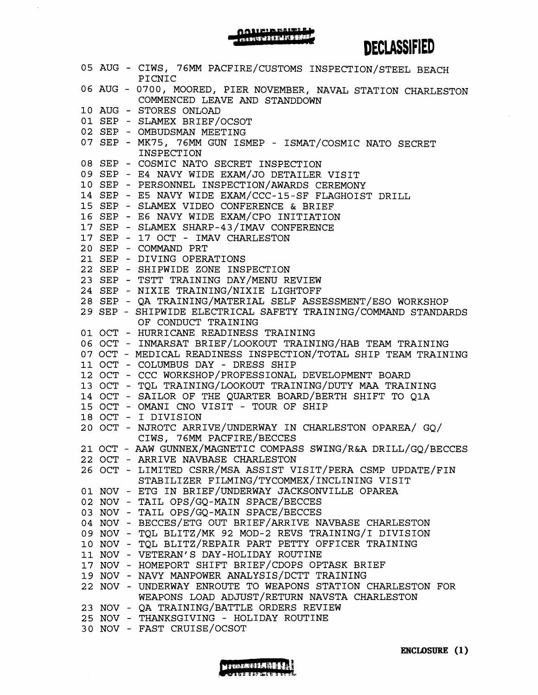# AANEIREITILI

 $\mathcal{A}$ 

# DECLASSIFIED

|  | 05 AUG - CIWS, 76MM PACFIRE/CUSTOMS INSPECTION/STEEL BEACH<br>PICNIC                            |
|--|-------------------------------------------------------------------------------------------------|
|  | 06 AUG - 0700, MOORED, PIER NOVEMBER, NAVAL STATION CHARLESTON<br>COMMENCED LEAVE AND STANDDOWN |
|  | 10 AUG - STORES ONLOAD                                                                          |
|  | 01 SEP - SLAMEX BRIEF/OCSOT                                                                     |
|  | 02 SEP - OMBUDSMAN MEETING                                                                      |
|  | 07 SEP - MK75, 76MM GUN ISMEP - ISMAT/COSMIC NATO SECRET<br><b>INSPECTION</b>                   |
|  | 08 SEP - COSMIC NATO SECRET INSPECTION                                                          |
|  | 09 SEP - E4 NAVY WIDE EXAM/JO DETAILER VISIT                                                    |
|  | 10 SEP - PERSONNEL INSPECTION/AWARDS CEREMONY                                                   |
|  | 14 SEP - E5 NAVY WIDE EXAM/CCC-15-SF FLAGHOIST DRILL                                            |
|  | 15 SEP - SLAMEX VIDEO CONFERENCE & BRIEF                                                        |
|  | 16 SEP - E6 NAVY WIDE EXAM/CPO INITIATION                                                       |
|  |                                                                                                 |
|  | 17 SEP - SLAMEX SHARP-43/IMAV CONFERENCE                                                        |
|  | 17 SEP - 17 OCT - IMAV CHARLESTON                                                               |
|  | 20 SEP - COMMAND PRT                                                                            |
|  | 21 SEP - DIVING OPERATIONS                                                                      |
|  | 22 SEP - SHIPWIDE ZONE INSPECTION                                                               |
|  | 23 SEP - TSTT TRAINING DAY/MENU REVIEW                                                          |
|  | 24 SEP - NIXIE TRAINING/NIXIE LIGHTOFF                                                          |
|  | 28 SEP - QA TRAINING/MATERIAL SELF ASSESSMENT/ESO WORKSHOP                                      |
|  | 29 SEP - SHIPWIDE ELECTRICAL SAFETY TRAINING/COMMAND STANDARDS<br>OF CONDUCT TRAINING           |
|  | 01 OCT - HURRICANE READINESS TRAINING                                                           |
|  | 06 OCT - INMARSAT BRIEF/LOOKOUT TRAINING/HAB TEAM TRAINING                                      |
|  | 07 OCT - MEDICAL READINESS INSPECTION/TOTAL SHIP TEAM TRAINING                                  |
|  | 11 OCT - COLUMBUS DAY - DRESS SHIP                                                              |
|  | 12 OCT - CCC WORKSHOP/PROFESSIONAL DEVELOPMENT BOARD                                            |
|  | 13 OCT - TQL TRAINING/LOOKOUT TRAINING/DUTY MAA TRAINING                                        |
|  | 14 OCT - SAILOR OF THE QUARTER BOARD/BERTH SHIFT TO Q1A                                         |
|  |                                                                                                 |
|  | 15 OCT - OMANI CNO VISIT - TOUR OF SHIP                                                         |
|  | 18 OCT - I DIVISION                                                                             |
|  | 20 OCT - NJROTC ARRIVE/UNDERWAY IN CHARLESTON OPAREA/ GQ/<br>CIWS, 76MM PACFIRE/BECCES          |
|  | 21 OCT - AAW GUNNEX/MAGNETIC COMPASS SWING/R&A DRILL/GQ/BECCES                                  |
|  | 22 OCT - ARRIVE NAVBASE CHARLESTON                                                              |
|  | 26 OCT - LIMITED CSRR/MSA ASSIST VISIT/PERA CSMP UPDATE/FIN                                     |
|  | STABILIZER FILMING/TYCOMMEX/INCLINING VISIT                                                     |
|  | 01 NOV - ETG IN BRIEF/UNDERWAY JACKSONVILLE OPAREA                                              |
|  | 02 NOV - TAIL OPS/GQ-MAIN SPACE/BECCES                                                          |
|  | 03 NOV - TAIL OPS/GQ-MAIN SPACE/BECCES                                                          |
|  | 04 NOV - BECCES/ETG OUT BRIEF/ARRIVE NAVBASE CHARLESTON                                         |
|  | 09 NOV - TQL BLITZ/MK 92 MOD-2 REVS TRAINING/I DIVISION                                         |
|  | 10 NOV - TQL BLITZ/REPAIR PART PETTY OFFICER TRAINING                                           |
|  | 11 NOV - VETERAN'S DAY-HOLIDAY ROUTINE                                                          |
|  |                                                                                                 |
|  | 17 NOV - HOMEPORT SHIFT BRIEF/CDOPS OPTASK BRIEF                                                |
|  | 19 NOV - NAVY MANPOWER ANALYSIS/DCTT TRAINING                                                   |
|  | 22 NOV - UNDERWAY ENROUTE TO WEAPONS STATION CHARLESTON FOR                                     |
|  | WEAPONS LOAD ADJUST/RETURN NAVSTA CHARLESTON                                                    |
|  | 23 NOV - QA TRAINING/BATTLE ORDERS REVIEW                                                       |
|  |                                                                                                 |
|  | 25 NOV - THANKSGIVING - HOLIDAY ROUTINE<br>30 NOV - FAST CRUISE/OCSOT                           |

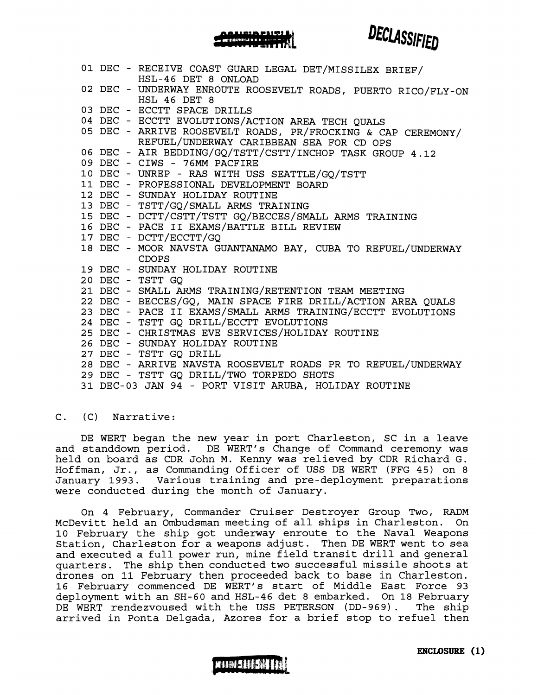01 DEC - RECEIVE COAST GUARD LEGAL DET/MISSILEX BRIEF/ HSL-46 DET 8 ONLOAD 02 DEC - UNDERWAY ENROUTE ROOSEVELT ROADS, PUERTO RICO/FLY-ON HSL 46 DET 8 03 DEC - ECCTT SPACE DRILLS 04 DEC - ECCTT EVOLUTIONS/ACTION AREA TECH QUALS 05 DEC - ARRIVE ROOSEVELT ROADS, PR/FROCKING & CAP CEREMONY/ REFUEL/UNDERWAY CARIBBEAN SEA FOR CD OPS 06 DEC - AIR **BEDDING/GQ/TSTT/CSTT/INCHOP** TASK GROUP 4.12 09 DEC - CIWS - 76MM PACFIRE 10 DEC - UNREP - RAS WITH USS SEATTLE/GQ/TSTT 11 DEC - PROFESSIONAL DEVELOPMENT BOARD 12 DEC - SUNDAY HOLIDAY ROUTINE 13 DEC - TSTT/GQ/SMALL ARMS TRAINING 15 DEC - DcTT/CSTT/TSTT GQ/BECCES/SMALL ARMS TRAINING 16 DEC - PACE I1 EXAMS/BATTLE BILL REVIEW 17 DEC - DCTT/ECCTT/GQ 18 DEC - MOOR NAVSTA GUANTANAMO BAY, CUBA TO REFUEL/UNDERWAY CDOPS 19 DEC - SUNDAY HOLIDAY ROUTINE 20 DEC - TSTT GQ 21 DEC - SMALL ARMS TRAINING/RETENTION TEAM MEETING 22 DEC - BECCES/GQ, MAIN SPACE FIRE DRILL/ACTION AREA QUALS 23 DEC - PACE I1 EXAMS/SMALL ARMS TRAINING/ECCTT EVOLUTIONS 24 DEC - TSTT GQ DRILL/ECCTT EVOLUTIONS 25 DEC - CHRISTMAS EVE SERVICES/HOLIDAY ROUTINE 26 DEC - SUNDAY HOLIDAY ROUTINE 27 DEC - TSTT GQ DRILL 28 DEC - ARRIVE NAVSTA ROOSEVELT ROADS PR TO REFUEL/UNDERWAY 29 DEC - TSTT GQ DRILL/TWO TORPEDO SHOTS 31 DEC-03 JAN 94 - PORT VISIT ARUBA, HOLIDAY ROUTINE

AUEIAPHQ1

DECLASSIFIED

#### C. (C) Narrative:

DE WERT began the new year in port Charleston, SC in a leave and standdown period. DE WERT's Change of Command ceremony was held on board as CDR John M. Kenny was relieved by CDR Richard G. Hoffman, Jr., as Commanding Officer of USS DE WERT (FFG 45) on 8 January 1993. Various training and pre-deployment preparations were conducted during the month of January.

On 4 February, Commander Cruiser Destroyer Group Two, RADM McDevitt held an Ombudsman meeting of all ships in Charleston. On 10 February the ship got underway enroute to the Naval Weapons Station, Charleston for a weapons adjust. Then DE WERT went to sea and executed a full power run, mine field transit drill and general quarters. The ship then conducted two successful missile shoots at drones on 11 February then proceeded back to base in Charleston. 16 February commenced DE WERT's start of Middle East Force 93 deployment with an SH-60 and HSL-46 det 8 embarked. On 18 February DE WERT rendezvoused with the USS PETERSON (DD-969) . The ship arrived in Ponta Delgada, Azores for a brief stop to refuel then

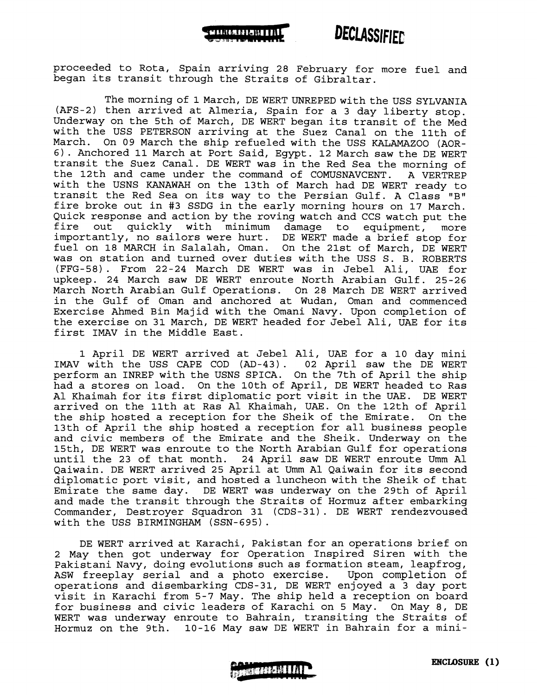

### **DECLASSIFIED**

proceeded to Rota, Spain arriving 28 February for more fuel and began its transit through the Straits of Gibraltar.

The morning of 1 March, DE WERT UNREPED with the USS SYLVANIA (AFS-2) then arrived at Almeria, Spain for a 3 day liberty stop. Underway on the 5th of March, DE WERT began its transit of the Med with the USS PETERSON arriving at the Suez Canal on the 11th of March. On 09 March the ship refueled with the USS KALAMAZOO (AOR-6) . Anchored 11 March at Port Said, Egypt. 12 March saw the DE WERT transit the Suez Canal. DE WERT was in the Red Sea the morning of the 12th and came under the command of COMUSNAVCENT. A VERTREP with the USNS KANAWAH on the 13th of March had DE WERT ready to transit the Red Sea on its way to the Persian Gulf. A Class "B" fire broke out in #3 SSDG in the early morning hours on 17 March. Quick response and action by the roving watch and CCS watch put the<br>fire out quickly with minimum damage to equipment, more quickly with minimum damage to equipment, more importantly, no sailors were hurt. DE WERT made a brief stop for fuel on 18 MARCH in Salalah, Oman. On the 21st of March, DE WERT was on station and turned over duties with the USS S. B. ROBERTS (FFG-58). From 22-24 March DE WERT was in Jebel Ali, UAE for upkeep. 24 March saw DE WERT enroute North Arabian Gulf. 25-26 March North Arabian Gulf Operations. On 28 March DE WERT arrived in the Gulf of Oman and anchored at Wudan, Oman and commenced Exercise Ahmed Bin Majid with the Omani Navy. Upon completion of the exercise on 31 March, DE WERT headed for Jebel Ali, UAE for its first IMAV in the Middle East.

1 April DE WERT arrived at Jebel Ali, UAE for a 10 day mini IMAV with the USS CAPE COD (AD-43). 02 April saw the DE WERT perform an INREP with the USNS SPICA. On the 7th of April the ship had a stores on load. On the 10th of April, DE WERT headed to Ras A1 Khaimah for its first diplomatic port visit in the UAE. DE WERT arrived on the 11th at Ras A1 Khaimah, UAE. On the 12th of April the ship hosted a reception for the Sheik of the Emirate. On the 13th of April the ship hosted a reception for all business people and civic members of the Emirate and the Sheik. Underway on the 15th, DE WERT was enroute to the North Arabian Gulf for operations until the 23 of that month. 24 April saw DE WERT enroute Umm Al 24 April saw DE WERT enroute Umm Al Qaiwain. DE WERT arrived 25 April at Umm A1 Qaiwain for its second diplomatic port visit, and hosted a luncheon with the Sheik of that Emirate the same day. DE WERT was underway on the 29th of April and made the transit through the Straits of Hormuz after embarking Commander, Destroyer Squadron 31 (CDS-31). DE WERT rendezvoused with the USS BIRMINGHAM (SSN-695) .

DE WERT arrived at Karachi, Pakistan for an operations brief on 2 May then got underway for Operation Inspired Siren with the Pakistani Navy, doing evolutions such as formation steam, leapfrog, ASW freeplay serial and a photo exercise. Upon completion of operations and disembarking CDS-31, DE WERT enjoyed a 3 day port visit in Karachi from 5-7 May. The ship held a reception on board for business and civic leaders of Karachi on 5 May. On May 8, DE WERT was underway enroute to Bahrain, transiting the Straits of Hormuz on the 9th. 10-16 May saw DE WERT in Bahrain for a mini-

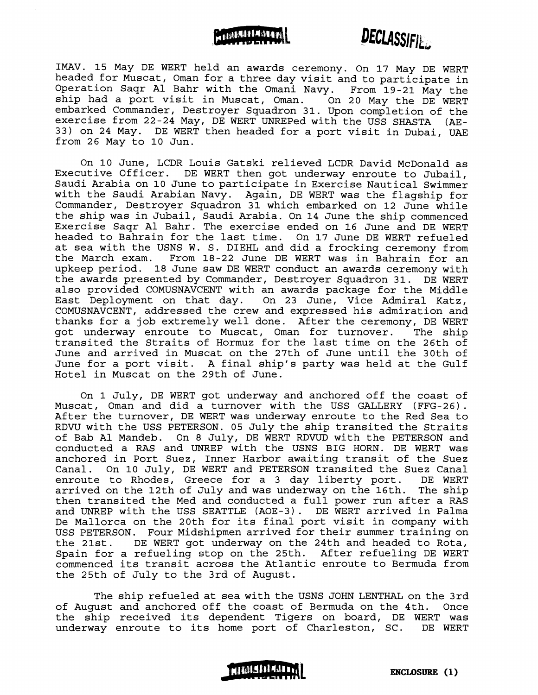



**IMAV.** 15 May DE WERT held an awards ceremony. On 17 May DE WERT headed for Muscat, Oman for a three day visit and to participate in Operation Saqr A1 Bahr with the Omani Navy. From 19-21 May the ship had a port visit in Muscat, Oman. On 20 May the DE WERT embarked Commander, Destroyer Squadron 31. Upon completion of the exercise from 22-24 May, DE WERT UNREPed with the USS SHASTA (AE-33) on 24 May. DE WERT then headed for a port visit in Dubai, UAE from 26 May to 10 Jun.

On 10 June, LCDR Louis Gatski relieved LCDR David McDonald as Executive Officer. DE WERT then got underway enroute to Jubail, Saudi Arabia on 10 June to participate in Exercise Nautical Swimmer with the Saudi Arabian Navy. Again, DE WERT was the flagship for Commander, Destroyer Squadron 31 which embarked on 12 June while the ship was in Jubail, Saudi Arabia. On 14 June the ship commenced Exercise Saqr A1 Bahr. The exercise ended on 16 June and DE WERT headed to Bahrain for the last time. On 17 June DE WERT refueled at sea with the USNS W. S. DIEHL and did a frocking ceremony from the March exam. From 18-22 June DE WERT was in Bahrain for an upkeep period. 18 June saw DE WERT conduct an awards ceremony with the awards presented by Commander, Destroyer Squadron 31. DE WERT also provided COMUSNAVCENT with an awards package for the Middle East Deployment on that day. On 23 June, Vice Admiral Katz, COMUSNAVCENT, addressed the crew and expressed his admiration and thanks for a job extremely well done. After the ceremony, DE WERT<br>qot underway enroute to Muscat, Oman for turnover. The ship got underway enroute to Muscat, Oman for turnover. transited the Straits of Hormuz for the last time on the 26th of June and arrived in Muscat on the 27th of June until the 30th of June for a port visit. A final ship's party was held at the Gulf Hotel in Muscat on the 29th of June.

On 1 July, DE WERT got underway and anchored off the coast of Muscat, Oman and did a turnover with the USS GALLERY (FFG-26). After the turnover, DE WERT was underway enroute to the Red Sea to RDW with the USS PETERSON. 05 July the ship transited the Straits of Bab A1 Mandeb. On 8 July, DE WERT RDVUD with the PETERSON and conducted a RAS and UNREP with the USNS BIG HORN. DE WERT was anchored in Port Suez, Inner Harbor awaiting transit of the Suez<br>Canal. On 10 July, DE WERT and PETERSON transited the Suez Canal On 10 July, DE WERT and PETERSON transited the Suez Canal enroute to Rhodes, Greece for a 3 day liberty port. DE WERT<br>arrived on the 12th of July and was underway on the 16th. The ship arrived on the 12th of July and was underway on the 16th. then transited the Med and conducted a full power run after a RAS and UNREP with the USS SEATTLE (AOE-3). DE WERT arrived in Palma De Mallorca on the 20th for its final port visit in company with USS PETERSON. Four Midshipmen arrived for their summer training on the 21st. DE WERT got underway on the 24th and headed to Rota, Spain for a refueling stop on the 25th. After refueling DE WERT commenced its transit across the Atlantic enroute to Bermuda from the 25th of July to the 3rd of August.

The ship refueled at sea with the USNS JOHN LENTHAL on the 3rd of August and anchored off the coast of Bermuda on the 4th. Once the ship received its dependent Tigers on board, DE WERT was underway enroute to its home port of Charleston, SC. DE WERT

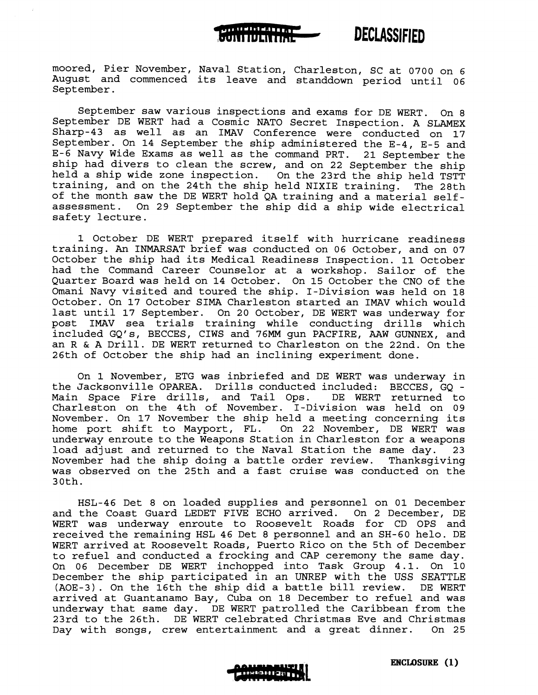

**UNIELARE QUITEILENTE** 

**DECLASSIFIED** 

September saw various inspections and exams for DE WERT. On 8 September DE WERT had a Cosmic NATO Secret Inspection. A SLAMEX Sharp-43 as well as an IMAV Conference were conducted on 17 September. On 14 September the ship administered the E-4, E-5 and E-6 Navy Wide Exams as well as the command PRT. 21 September the ship had divers to clean the screw, and on 22 September the ship held a ship wide zone inspection. On the 23rd the ship held TSTT training, and on the 24th the ship held NIXIE training. The 28th of the month saw the DE WERT hold QA training and a material selfassessment. On 29 September the ship did a ship wide electrical safety lecture.

1 October DE WERT prepared itself with hurricane readiness training. An INMARSAT brief was conducted on 06 October, and on 07 October the ship had its Medical Readiness Inspection. 11 October had the Command Career Counselor at a workshop. Sailor of the Quarter Board was held on 14 October. On 15 October the CNO of the Omani Navy visited and toured the ship. I-Division was held on 18 October. On 17 October SIMA Charleston started an IMAV which would last until 17 September. On 20 October, DE WERT was underway for post IMAV sea trials training while conducting drills which included GQ1s, BECCES, CIWS and 76MM gun PACFIRE, AAW GUNNEX, and an R & A Drill. DE WERT returned to Charleston on the 22nd. On the 26th of October the ship had an inclining experiment done.

On 1 November, ETG was inbriefed and DE WERT was underway in the Jacksonville OPAREA. Drills conducted included: BECCES, GQ - Main Space Fire drills, and Tail Ops. Charleston on the 4th of November. I-Division was held on 09 November. On 17 November the ship held a meeting concerning its home port shift to Mayport, FL. On 22 November, DE WERT was underway enroute to the Weapons Station in Charleston for a weapons load adjust and returned to the Naval Station the same day. 23<br>November had the ship doing a battle order review. Thanksgiving November had the ship doing a battle order review. was observed on the 25th and a fast cruise was conducted on the 30th.

HSL-46 Det 8 on loaded supplies and personnel on 01 December and the Coast Guard LEDET FIVE ECHO arrived. On 2 December, DE WERT was underway enroute to Roosevelt Roads for CD OPS and received the remaining HSL 46 Det 8 personnel and an SH-60 helo. DE WERT arrived at Roosevelt Roads, Puerto Rico on the 5th of December to refuel and conducted a frocking and CAP ceremony the same day. On 06 December DE WERT inchopped into Task Group 4.1. On 10 December the ship participated in an UNREP with the USS SEATTLE (AOE-3). On the 16th the ship did a battle bill review. DE WERT arrived at Guantanamo Bay, Cuba on 18 December to refuel and was underway that same day. DE WERT patrolled the Caribbean from the 23rd to the 26th. DE WERT celebrated Christmas Eve and Christmas<br>Day with songs, crew entertainment and a great dinner. On 25 Day with songs, crew entertainment and a great dinner.